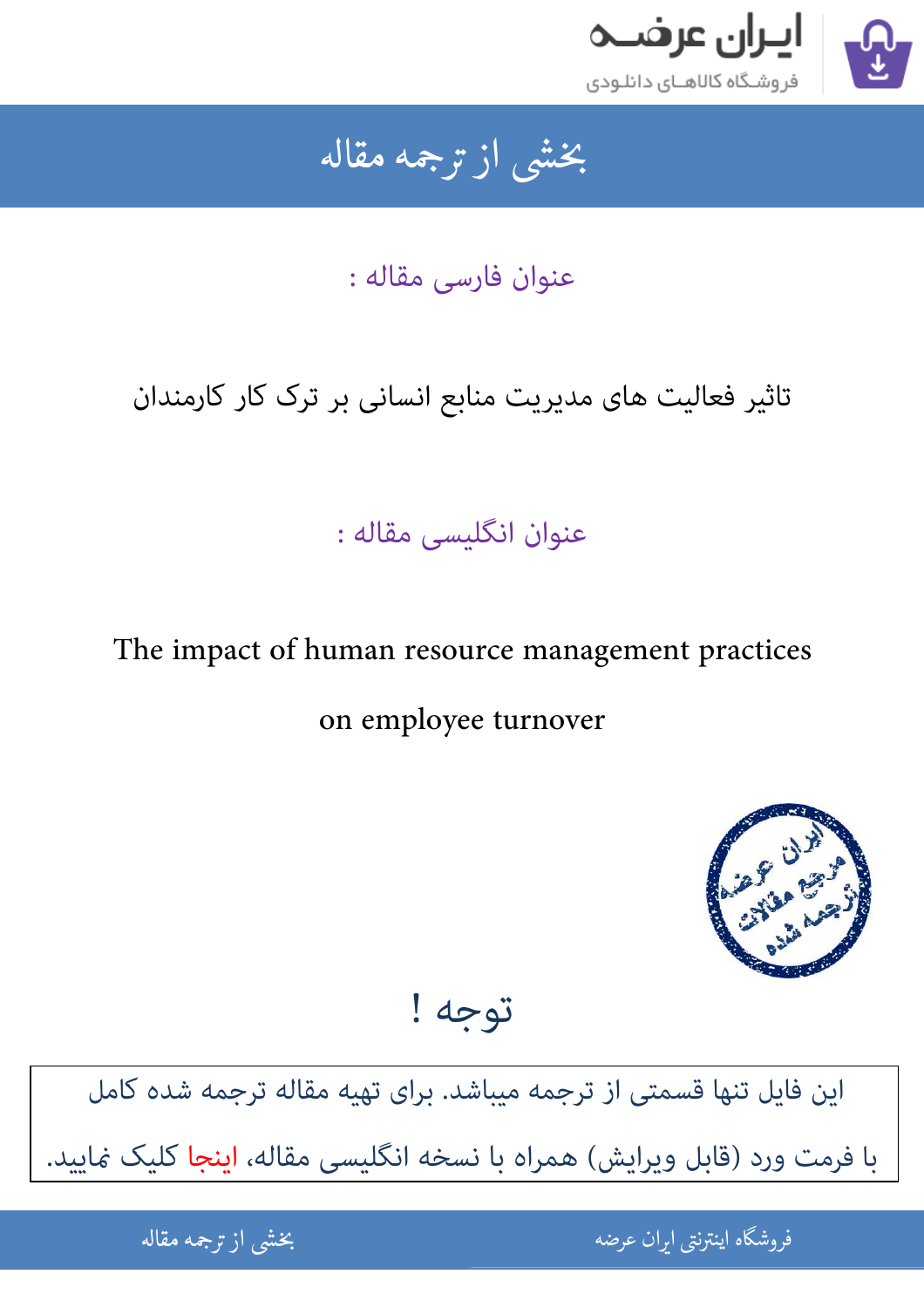

### بخشى از ترجمه مقاله شی از تر بخشی از :

عنوان فارسی مقاله :

تاثیر فعالیت های مدیریت منابع انسانی بر ترک کار کارمندان

## عنوان انگلیسی مقاله :

# The impact of human resource management practices

## on employee turnover



توجه !

[این فایل تنها قسمتی از ترجمه میباشد. برای تهیه مقاله ترجمه شده کامل](http://iranarze.ir/human+resource+management+practices+employee+turnover)  با فرمت ورد (قابل ویرایش) همراه با نسخه انگلیسی مقاله، اینجا کلیک غایید.

> .<br>ه الموضوع الموضوع الموضوع الموضوع الموضوع الموضوع الموضوع الموضوع الموضوع الموضوع الموضوع الموضوع الموضوع المو<br>الموضوع الموضوع الموضوع الموضوع الموضوع الموضوع الموضوع الموضوع الموضوع الموضوع الموضوع الموضوع الموضوع المو ֚֚֚֚֚֚֚֚֚֚֚֚֚֚֚֚֚֚֚֚֚֚֬֡֡֡֡֡֡֡֡֡֬֝֡֡֡֡֬֓֡֡֬ فروشگاه اینترنتی ایر

ان عرضه مقاله از ترجمه مقاله استخدام استخدام العامل العامل العامل العامل العامل العامل العامل العامل العامل ال